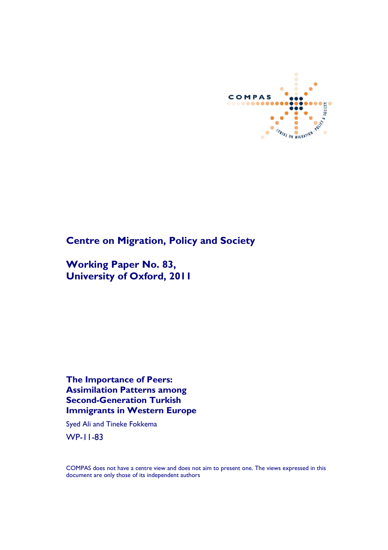

# **Centre on Migration, Policy and Society**

**Working Paper No. 83, University of Oxford, 2011**

**The Importance of Peers: Assimilation Patterns among Second-Generation Turkish Immigrants in Western Europe**

Syed Ali and Tineke Fokkema

WP-11-83

COMPAS does not have a centre view and does not aim to present one. The views expressed in this document are only those of its independent authors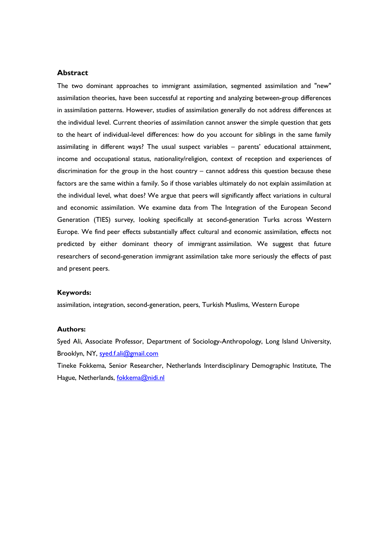## **Abstract**

The two dominant approaches to immigrant assimilation, segmented assimilation and "new" assimilation theories, have been successful at reporting and analyzing between-group differences in assimilation patterns. However, studies of assimilation generally do not address differences at the individual level. Current theories of assimilation cannot answer the simple question that gets to the heart of individual-level differences: how do you account for siblings in the same family assimilating in different ways? The usual suspect variables – parents' educational attainment, income and occupational status, nationality/religion, context of reception and experiences of discrimination for the group in the host country – cannot address this question because these factors are the same within a family. So if those variables ultimately do not explain assimilation at the individual level, what does? We argue that peers will significantly affect variations in cultural and economic assimilation. We examine data from The Integration of the European Second Generation (TIES) survey, looking specifically at second-generation Turks across Western Europe. We find peer effects substantially affect cultural and economic assimilation, effects not predicted by either dominant theory of immigrant assimilation. We suggest that future researchers of second-generation immigrant assimilation take more seriously the effects of past and present peers.

#### **Keywords:**

assimilation, integration, second-generation, peers, Turkish Muslims, Western Europe

## **Authors:**

Syed Ali, Associate Professor, Department of Sociology-Anthropology, Long Island University, Brooklyn, NY, syed.f.ali@gmail.com

Tineke Fokkema, Senior Researcher, Netherlands Interdisciplinary Demographic Institute, The Hague, Netherlands, fokkema@nidi.nl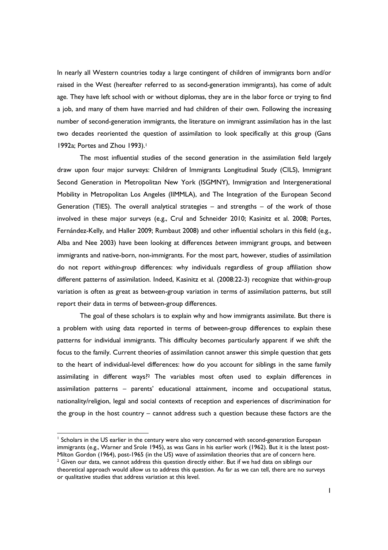In nearly all Western countries today a large contingent of children of immigrants born and/or raised in the West (hereafter referred to as second-generation immigrants), has come of adult age. They have left school with or without diplomas, they are in the labor force or trying to find a job, and many of them have married and had children of their own. Following the increasing number of second-generation immigrants, the literature on immigrant assimilation has in the last two decades reoriented the question of assimilation to look specifically at this group (Gans 1992a; Portes and Zhou 1993).<sup>1</sup>

The most influential studies of the second generation in the assimilation field largely draw upon four major surveys: Children of Immigrants Longitudinal Study (CILS), Immigrant Second Generation in Metropolitan New York (ISGMNY), Immigration and Intergenerational Mobility in Metropolitan Los Angeles (IIMMLA), and The Integration of the European Second Generation (TIES). The overall analytical strategies  $-$  and strengths  $-$  of the work of those involved in these major surveys (e.g., Crul and Schneider 2010; Kasinitz et al. 2008; Portes, Fernández-Kelly, and Haller 2009; Rumbaut 2008) and other influential scholars in this field (e.g., Alba and Nee 2003) have been looking at differences *between* immigrant groups, and between immigrants and native-born, non-immigrants. For the most part, however, studies of assimilation do not report *within-group* differences: why individuals regardless of group affiliation show different patterns of assimilation. Indeed, Kasinitz et al. (2008:22-3) recognize that within-group variation is often as great as between-group variation in terms of assimilation patterns, but still report their data in terms of between-group differences.

The goal of these scholars is to explain why and how immigrants assimilate. But there is a problem with using data reported in terms of between-group differences to explain these patterns for individual immigrants. This difficulty becomes particularly apparent if we shift the focus to the family. Current theories of assimilation cannot answer this simple question that gets to the heart of individual-level differences: how do you account for siblings in the same family assimilating in different ways?<sup>2</sup> The variables most often used to explain differences in assimilation patterns – parents' educational attainment, income and occupational status, nationality/religion, legal and social contexts of reception and experiences of discrimination for the group in the host country – cannot address such a question because these factors are the

<sup>&</sup>lt;sup>1</sup> Scholars in the US earlier in the century were also very concerned with second-generation European immigrants (e.g., Warner and Srole 1945), as was Gans in his earlier work (1962). But it is the latest post-Milton Gordon (1964), post-1965 (in the US) wave of assimilation theories that are of concern here.  $2$  Given our data, we cannot address this question directly either. But if we had data on siblings our theoretical approach would allow us to address this question. As far as we can tell, there are no surveys or qualitative studies that address variation at this level.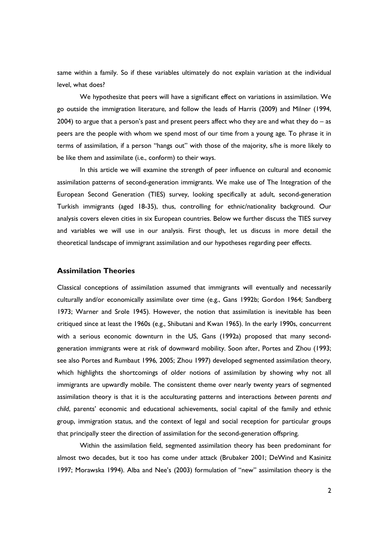same within a family. So if these variables ultimately do not explain variation at the individual level, what does?

We hypothesize that peers will have a significant effect on variations in assimilation. We go outside the immigration literature, and follow the leads of Harris (2009) and Milner (1994, 2004) to argue that a person's past and present peers affect who they are and what they do  $-$  as peers are the people with whom we spend most of our time from a young age. To phrase it in terms of assimilation, if a person "hangs out" with those of the majority, s/he is more likely to be like them and assimilate (i.e., conform) to their ways.

In this article we will examine the strength of peer influence on cultural and economic assimilation patterns of second-generation immigrants. We make use of The Integration of the European Second Generation (TIES) survey, looking specifically at adult, second-generation Turkish immigrants (aged 18-35), thus, controlling for ethnic/nationality background. Our analysis covers eleven cities in six European countries. Below we further discuss the TIES survey and variables we will use in our analysis. First though, let us discuss in more detail the theoretical landscape of immigrant assimilation and our hypotheses regarding peer effects.

# **Assimilation Theories**

Classical conceptions of assimilation assumed that immigrants will eventually and necessarily culturally and/or economically assimilate over time (e.g., Gans 1992b; Gordon 1964; Sandberg 1973; Warner and Srole 1945). However, the notion that assimilation is inevitable has been critiqued since at least the 1960s (e.g., Shibutani and Kwan 1965). In the early 1990s, concurrent with a serious economic downturn in the US, Gans (1992a) proposed that many secondgeneration immigrants were at risk of downward mobility. Soon after, Portes and Zhou (1993; see also Portes and Rumbaut 1996, 2005; Zhou 1997) developed segmented assimilation theory, which highlights the shortcomings of older notions of assimilation by showing why not all immigrants are upwardly mobile. The consistent theme over nearly twenty years of segmented assimilation theory is that it is the acculturating patterns and interactions *between parents and child*, parents' economic and educational achievements, social capital of the family and ethnic group, immigration status, and the context of legal and social reception for particular groups that principally steer the direction of assimilation for the second-generation offspring.

Within the assimilation field, segmented assimilation theory has been predominant for almost two decades, but it too has come under attack (Brubaker 2001; DeWind and Kasinitz 1997; Morawska 1994). Alba and Nee's (2003) formulation of "new" assimilation theory is the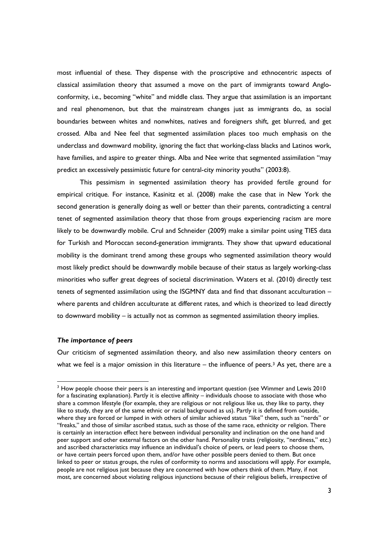most influential of these. They dispense with the proscriptive and ethnocentric aspects of classical assimilation theory that assumed a move on the part of immigrants toward Angloconformity, i.e., becoming "white" and middle class. They argue that assimilation is an important and real phenomenon, but that the mainstream changes just as immigrants do, as social boundaries between whites and nonwhites, natives and foreigners shift, get blurred, and get crossed. Alba and Nee feel that segmented assimilation places too much emphasis on the underclass and downward mobility, ignoring the fact that working-class blacks and Latinos work, have families, and aspire to greater things. Alba and Nee write that segmented assimilation "may predict an excessively pessimistic future for central-city minority youths" (2003:8).

This pessimism in segmented assimilation theory has provided fertile ground for empirical critique. For instance, Kasinitz et al. (2008) make the case that in New York the second generation is generally doing as well or better than their parents, contradicting a central tenet of segmented assimilation theory that those from groups experiencing racism are more likely to be downwardly mobile. Crul and Schneider (2009) make a similar point using TIES data for Turkish and Moroccan second-generation immigrants. They show that upward educational mobility is the dominant trend among these groups who segmented assimilation theory would most likely predict should be downwardly mobile because of their status as largely working-class minorities who suffer great degrees of societal discrimination. Waters et al. (2010) directly test tenets of segmented assimilation using the ISGMNY data and find that dissonant acculturation – where parents and children acculturate at different rates, and which is theorized to lead directly to downward mobility – is actually not as common as segmented assimilation theory implies.

#### *The importance of peers*

Our criticism of segmented assimilation theory, and also new assimilation theory centers on what we feel is a major omission in this literature – the influence of peers.<sup>3</sup> As yet, there are a

<sup>&</sup>lt;sup>3</sup> How people choose their peers is an interesting and important question (see Wimmer and Lewis 2010 for a fascinating explanation). Partly it is elective affinity – individuals choose to associate with those who share a common lifestyle (for example, they are religious or not religious like us, they like to party, they like to study, they are of the same ethnic or racial background as us). Partly it is defined from outside, where they are forced or lumped in with others of similar achieved status "like" them, such as "nerds" or "freaks," and those of similar ascribed status, such as those of the same race, ethnicity or religion. There is certainly an interaction effect here between individual personality and inclination on the one hand and peer support and other external factors on the other hand. Personality traits (religiosity, "nerdiness," etc.) and ascribed characteristics may influence an individual's choice of peers, or lead peers to choose them, or have certain peers forced upon them, and/or have other possible peers denied to them. But once linked to peer or status groups, the rules of conformity to norms and associations will apply. For example, people are not religious just because they are concerned with how others think of them. Many, if not most, are concerned about violating religious injunctions because of their religious beliefs, irrespective of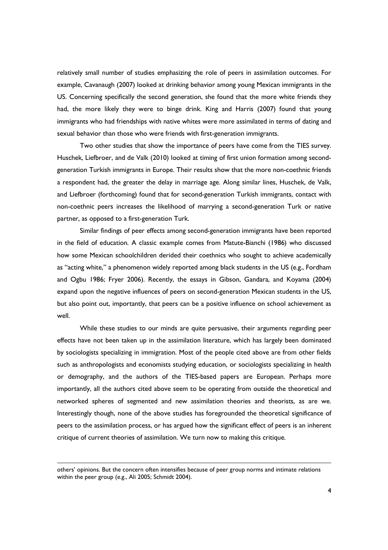relatively small number of studies emphasizing the role of peers in assimilation outcomes. For example, Cavanaugh (2007) looked at drinking behavior among young Mexican immigrants in the US. Concerning specifically the second generation, she found that the more white friends they had, the more likely they were to binge drink. King and Harris (2007) found that young immigrants who had friendships with native whites were more assimilated in terms of dating and sexual behavior than those who were friends with first-generation immigrants.

Two other studies that show the importance of peers have come from the TIES survey. Huschek, Liefbroer, and de Valk (2010) looked at timing of first union formation among secondgeneration Turkish immigrants in Europe. Their results show that the more non-coethnic friends a respondent had, the greater the delay in marriage age. Along similar lines, Huschek, de Valk, and Liefbroer (forthcoming) found that for second-generation Turkish immigrants, contact with non-coethnic peers increases the likelihood of marrying a second-generation Turk or native partner, as opposed to a first-generation Turk.

Similar findings of peer effects among second-generation immigrants have been reported in the field of education. A classic example comes from Matute-Bianchi (1986) who discussed how some Mexican schoolchildren derided their coethnics who sought to achieve academically as "acting white," a phenomenon widely reported among black students in the US (e.g., Fordham and Ogbu 1986; Fryer 2006). Recently, the essays in Gibson, Gandara, and Koyama (2004) expand upon the negative influences of peers on second-generation Mexican students in the US, but also point out, importantly, that peers can be a positive influence on school achievement as well.

While these studies to our minds are quite persuasive, their arguments regarding peer effects have not been taken up in the assimilation literature, which has largely been dominated by sociologists specializing in immigration. Most of the people cited above are from other fields such as anthropologists and economists studying education, or sociologists specializing in health or demography, and the authors of the TIES-based papers are European. Perhaps more importantly, all the authors cited above seem to be operating from outside the theoretical and networked spheres of segmented and new assimilation theories and theorists, as are we. Interestingly though, none of the above studies has foregrounded the theoretical significance of peers to the assimilation process, or has argued how the significant effect of peers is an inherent critique of current theories of assimilation. We turn now to making this critique.

others' opinions. But the concern often intensifies because of peer group norms and intimate relations within the peer group (e.g., Ali 2005; Schmidt 2004).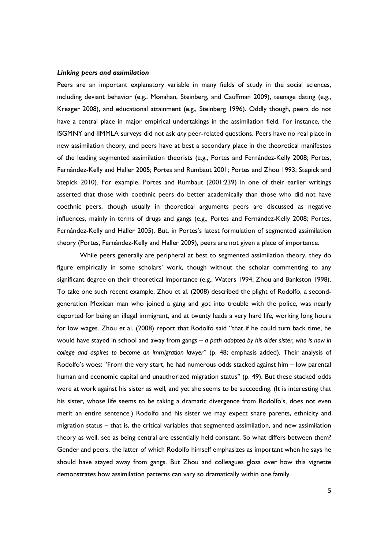#### *Linking peers and assimilation*

Peers are an important explanatory variable in many fields of study in the social sciences, including deviant behavior (e.g., Monahan, Steinberg, and Cauffman 2009), teenage dating (e.g., Kreager 2008), and educational attainment (e.g., Steinberg 1996). Oddly though, peers do not have a central place in major empirical undertakings in the assimilation field. For instance, the ISGMNY and IIMMLA surveys did not ask *any* peer-related questions. Peers have no real place in new assimilation theory, and peers have at best a secondary place in the theoretical manifestos of the leading segmented assimilation theorists (e.g., Portes and Fernández-Kelly 2008; Portes, Fernández-Kelly and Haller 2005; Portes and Rumbaut 2001; Portes and Zhou 1993; Stepick and Stepick 2010). For example, Portes and Rumbaut (2001:239) in one of their earlier writings asserted that those with coethnic peers do better academically than those who did not have coethnic peers, though usually in theoretical arguments peers are discussed as negative influences, mainly in terms of drugs and gangs (e.g., Portes and Fernández-Kelly 2008; Portes, Fernández-Kelly and Haller 2005). But, in Portes's latest formulation of segmented assimilation theory (Portes, Fernández-Kelly and Haller 2009), peers are not given a place of importance.

While peers generally are peripheral at best to segmented assimilation theory, they do figure empirically in some scholars' work, though without the scholar commenting to any significant degree on their theoretical importance (e.g., Waters 1994; Zhou and Bankston 1998). To take one such recent example, Zhou et al. (2008) described the plight of Rodolfo, a secondgeneration Mexican man who joined a gang and got into trouble with the police, was nearly deported for being an illegal immigrant, and at twenty leads a very hard life, working long hours for low wages. Zhou et al. (2008) report that Rodolfo said "that if he could turn back time, he would have stayed in school and away from gangs – *a path adopted by his older sister, who is now in college and aspires to become an immigration lawyer*" (p. 48; emphasis added). Their analysis of Rodolfo's woes: "From the very start, he had numerous odds stacked against him – low parental human and economic capital and unauthorized migration status" (p. 49). But these stacked odds were at work against his sister as well, and yet she seems to be succeeding. (It is interesting that his sister, whose life seems to be taking a dramatic divergence from Rodolfo's, does not even merit an entire sentence.) Rodolfo and his sister we may expect share parents, ethnicity and migration status – that is, the critical variables that segmented assimilation, and new assimilation theory as well, see as being central are essentially held constant. So what differs between them? Gender and peers, the latter of which Rodolfo himself emphasizes as important when he says he should have stayed away from gangs. But Zhou and colleagues gloss over how this vignette demonstrates how assimilation patterns can vary so dramatically within one family.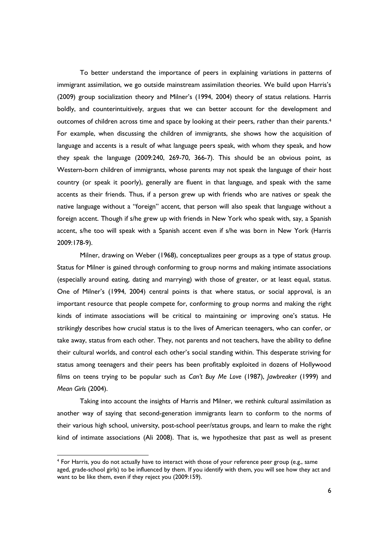To better understand the importance of peers in explaining variations in patterns of immigrant assimilation, we go outside mainstream assimilation theories. We build upon Harris's (2009) group socialization theory and Milner's (1994, 2004) theory of status relations. Harris boldly, and counterintuitively, argues that we can better account for the development and outcomes of children across time and space by looking at their peers, rather than their parents.<sup>4</sup> For example, when discussing the children of immigrants, she shows how the acquisition of language and accents is a result of what language peers speak, with whom they speak, and how they speak the language (2009:240, 269-70, 366-7). This should be an obvious point, as Western-born children of immigrants, whose parents may not speak the language of their host country (or speak it poorly), generally are fluent in that language, and speak with the same accents as their friends. Thus, if a person grew up with friends who are natives or speak the native language without a "foreign" accent, that person will also speak that language without a foreign accent. Though if s/he grew up with friends in New York who speak with, say, a Spanish accent, s/he too will speak with a Spanish accent even if s/he was born in New York (Harris 2009:178-9).

Milner, drawing on Weber (1968), conceptualizes peer groups as a type of status group. Status for Milner is gained through conforming to group norms and making intimate associations (especially around eating, dating and marrying) with those of greater, or at least equal, status. One of Milner's (1994, 2004) central points is that where status, or social approval, is an important resource that people compete for, conforming to group norms and making the right kinds of intimate associations will be critical to maintaining or improving one's status. He strikingly describes how crucial status is to the lives of American teenagers, who can confer, or take away, status from each other. They, not parents and not teachers, have the ability to define their cultural worlds, and control each other's social standing within. This desperate striving for status among teenagers and their peers has been profitably exploited in dozens of Hollywood films on teens trying to be popular such as *Can't Buy Me Love* (1987), *Jawbreaker* (1999) and *Mean Girls* (2004).

Taking into account the insights of Harris and Milner, we rethink cultural assimilation as another way of saying that second-generation immigrants learn to conform to the norms of their various high school, university, post-school peer/status groups, and learn to make the right kind of intimate associations (Ali 2008). That is, we hypothesize that past as well as present

<sup>4</sup> For Harris, you do not actually have to interact with those of your reference peer group (e.g., same aged, grade-school girls) to be influenced by them. If you identify with them, you will see how they act and want to be like them, even if they reject you (2009:159).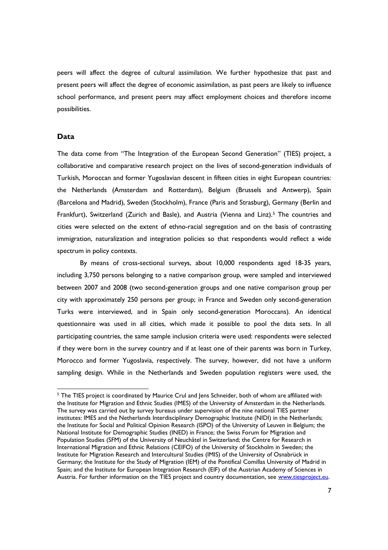peers will affect the degree of cultural assimilation. We further hypothesize that past and present peers will affect the degree of economic assimilation, as past peers are likely to influence school performance, and present peers may affect employment choices and therefore income possibilities.

# **Data**

The data come from "The Integration of the European Second Generation" (TIES) project, a collaborative and comparative research project on the lives of second-generation individuals of Turkish, Moroccan and former Yugoslavian descent in fifteen cities in eight European countries: the Netherlands (Amsterdam and Rotterdam), Belgium (Brussels and Antwerp), Spain (Barcelona and Madrid), Sweden (Stockholm), France (Paris and Strasburg), Germany (Berlin and Frankfurt), Switzerland (Zurich and Basle), and Austria (Vienna and Linz).<sup>5</sup> The countries and cities were selected on the extent of ethno-racial segregation and on the basis of contrasting immigration, naturalization and integration policies so that respondents would reflect a wide spectrum in policy contexts.

By means of cross-sectional surveys, about 10,000 respondents aged 18-35 years, including 3,750 persons belonging to a native comparison group, were sampled and interviewed between 2007 and 2008 (two second-generation groups and one native comparison group per city with approximately 250 persons per group; in France and Sweden only second-generation Turks were interviewed, and in Spain only second-generation Moroccans). An identical questionnaire was used in all cities, which made it possible to pool the data sets. In all participating countries, the same sample inclusion criteria were used: respondents were selected if they were born in the survey country and if at least one of their parents was born in Turkey, Morocco and former Yugoslavia, respectively. The survey, however, did not have a uniform sampling design. While in the Netherlands and Sweden population registers were used, the

<sup>&</sup>lt;sup>5</sup> The TIES project is coordinated by Maurice Crul and Jens Schneider, both of whom are affiliated with the Institute for Migration and Ethnic Studies (IMES) of the University of Amsterdam in the Netherlands. The survey was carried out by survey bureaus under supervision of the nine national TIES partner institutes: IMES and the Netherlands Interdisciplinary Demographic Institute (NIDI) in the Netherlands; the Institute for Social and Political Opinion Research (ISPO) of the University of Leuven in Belgium; the National Institute for Demographic Studies (INED) in France; the Swiss Forum for Migration and Population Studies (SFM) of the University of Neuchâtel in Switzerland; the Centre for Research in International Migration and Ethnic Relations (CEIFO) of the University of Stockholm in Sweden; the Institute for Migration Research and Intercultural Studies (IMIS) of the University of Osnabrück in Germany; the Institute for the Study of Migration (IEM) of the Pontifical Comillas University of Madrid in Spain; and the Institute for European Integration Research (EIF) of the Austrian Academy of Sciences in Austria. For further information on the TIES project and country documentation, see www.tiesproject.eu.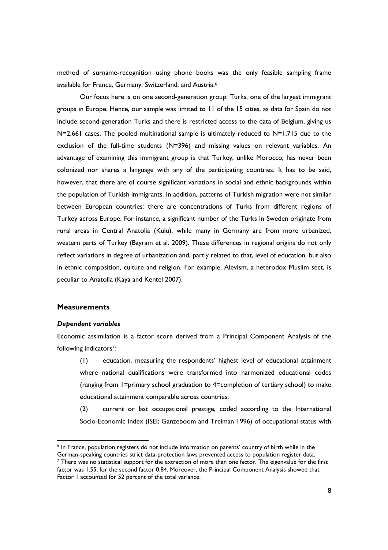method of surname-recognition using phone books was the only feasible sampling frame available for France, Germany, Switzerland, and Austria.<sup>6</sup>

Our focus here is on one second-generation group: Turks, one of the largest immigrant groups in Europe. Hence, our sample was limited to 11 of the 15 cities, as data for Spain do not include second-generation Turks and there is restricted access to the data of Belgium, giving us  $N=2,661$  cases. The pooled multinational sample is ultimately reduced to  $N=1,715$  due to the exclusion of the full-time students (N=396) and missing values on relevant variables. An advantage of examining this immigrant group is that Turkey, unlike Morocco, has never been colonized nor shares a language with any of the participating countries. It has to be said, however, that there are of course significant variations in social and ethnic backgrounds within the population of Turkish immigrants. In addition, patterns of Turkish migration were not similar between European countries: there are concentrations of Turks from different regions of Turkey across Europe. For instance, a significant number of the Turks in Sweden originate from rural areas in Central Anatolia (Kulu), while many in Germany are from more urbanized, western parts of Turkey (Bayram et al. 2009). These differences in regional origins do not only reflect variations in degree of urbanization and, partly related to that, level of education, but also in ethnic composition, culture and religion. For example, Alevism, a heterodox Muslim sect, is peculiar to Anatolia (Kaya and Kentel 2007).

# **Measurements**

#### *Dependent variables*

Economic assimilation is a factor score derived from a Principal Component Analysis of the following indicators<sup>7</sup>:

(1) education, measuring the respondents' highest level of educational attainment where national qualifications were transformed into harmonized educational codes (ranging from 1=primary school graduation to 4=completion of tertiary school) to make educational attainment comparable across countries;

(2) current or last occupational prestige, coded according to the International Socio-Economic Index (ISEI; Ganzeboom and Treiman 1996) of occupational status with

<sup>6</sup> In France, population registers do not include information on parents' country of birth while in the German-speaking countries strict data-protection laws prevented access to population register data.  $<sup>7</sup>$  There was no statistical support for the extraction of more than one factor. The eigenvalue for the first</sup> factor was 1.55, for the second factor 0.84. Moreover, the Principal Component Analysis showed that Factor 1 accounted for 52 percent of the total variance.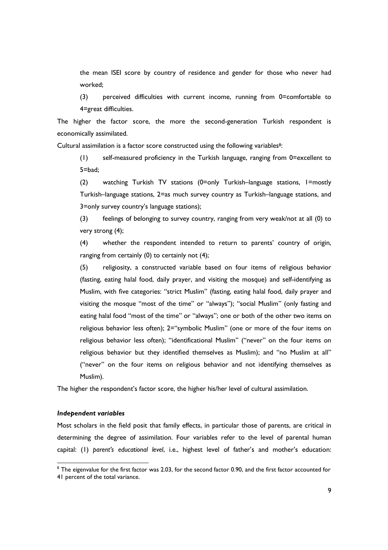the mean ISEI score by country of residence and gender for those who never had worked;

(3) perceived difficulties with current income, running from 0=comfortable to 4=great difficulties.

The higher the factor score, the more the second-generation Turkish respondent is economically assimilated.

Cultural assimilation is a factor score constructed using the following variables<sup>8</sup>:

(1) self-measured proficiency in the Turkish language, ranging from 0=excellent to 5=bad;

(2) watching Turkish TV stations (0=only Turkish–language stations, 1=mostly Turkish–language stations, 2=as much survey country as Turkish–language stations, and 3=only survey country's language stations);

(3) feelings of belonging to survey country, ranging from very weak/not at all (0) to very strong (4);

(4) whether the respondent intended to return to parents' country of origin, ranging from certainly (0) to certainly not (4);

(5) religiosity, a constructed variable based on four items of religious behavior (fasting, eating halal food, daily prayer, and visiting the mosque) and self-identifying as Muslim, with five categories: "strict Muslim" (fasting, eating halal food, daily prayer and visiting the mosque "most of the time" or "always"); "social Muslim" (only fasting and eating halal food "most of the time" or "always"; one or both of the other two items on religious behavior less often); 2="symbolic Muslim" (one or more of the four items on religious behavior less often); "identificational Muslim" ("never" on the four items on religious behavior but they identified themselves as Muslim); and "no Muslim at all" ("never" on the four items on religious behavior and not identifying themselves as Muslim).

The higher the respondent's factor score, the higher his/her level of cultural assimilation.

### *Independent variables*

Most scholars in the field posit that family effects, in particular those of parents, are critical in determining the degree of assimilation. Four variables refer to the level of parental human capital: (1) *parent's educational level*, i.e., highest level of father's and mother's education:

<sup>&</sup>lt;sup>8</sup> The eigenvalue for the first factor was 2.03, for the second factor 0.90, and the first factor accounted for 41 percent of the total variance.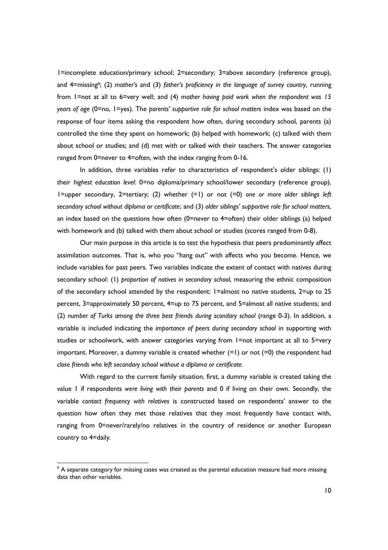1=incomplete education/primary school; 2=secondary; 3=above secondary (reference group), and 4=missing9; (2) *mother's* and (3) *father's proficiency in the language of survey country*, running from 1=not at all to 6=very well; and (4) *mother having paid work when the respondent was 15 years of age* (0=no, 1=yes). The *parents' supportive role for school matters* index was based on the response of four items asking the respondent how often, during secondary school, parents (a) controlled the time they spent on homework; (b) helped with homework; (c) talked with them about school or studies; and (d) met with or talked with their teachers. The answer categories ranged from 0=never to 4=often, with the index ranging from 0-16.

In addition, three variables refer to characteristics of respondent's older siblings: (1) their *highest education level*: 0=no diploma/primary school/lower secondary (reference group), 1=upper secondary, 2=tertiary; (2) whether (=1) or not (=0) *one or more older siblings left secondary school without diploma or certificate*; and (3) *older siblings' supportive role for school matters*, an index based on the questions how often (0=never to 4=often) their older siblings (a) helped with homework and (b) talked with them about school or studies (scores ranged from 0-8).

Our main purpose in this article is to test the hypothesis that peers predominantly affect assimilation outcomes. That is, who you "hang out" with affects who you become. Hence, we include variables for past peers. Two variables indicate the extent of contact with natives during secondary school: (1) *proportion of natives in secondary school*, measuring the ethnic composition of the secondary school attended by the respondent: 1=almost no native students, 2=up to 25 percent, 3=approximately 50 percent, 4=up to 75 percent, and 5=almost all native students; and (2) *number of Turks among the three best friends during scondary school* (range 0-3). In addition, a variable is included indicating the *importance of peers during secondary school* in supporting with studies or schoolwork, with answer categories varying from 1=not important at all to 5=very important. Moreover, a dummy variable is created whether (=1) or not (=0) the respondent had *close friends who left secondary school without a diploma or certificate.*

With regard to the current family situation, first, a dummy variable is created taking the value 1 if respondents *were living with their parents* and 0 if living on their own. Secondly, the variable *contact frequency with relatives* is constructed based on respondents' answer to the question how often they met those relatives that they most frequently have contact with, ranging from 0=never/rarely/no relatives in the country of residence or another European country to 4=daily.

 $9$  A separate category for missing cases was created as the parental education measure had more missing data than other variables.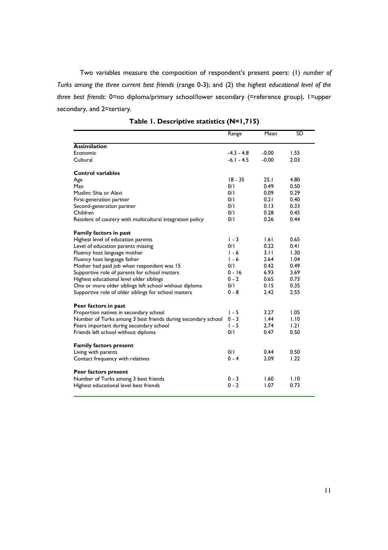Two variables measure the composition of respondent's present peers: (1) *number of Turks among the three current best friends* (range 0-3); and (2) the *highest educational level of the three best friends*: 0=no diploma/primary school/lower secondary (=reference group), 1=upper secondary, and 2=tertiary.

|                                                              | Range        | Mean    | <b>SD</b> |
|--------------------------------------------------------------|--------------|---------|-----------|
| <b>Assimilation</b>                                          |              |         |           |
| Economic                                                     | $-4.3 - 4.8$ | $-0.00$ | 1.55      |
| Cultural                                                     | $-6.1 - 4.5$ | $-0.00$ | 2.03      |
| <b>Control variables</b>                                     |              |         |           |
| Age                                                          | $18 - 35$    | 25.1    | 4.80      |
| Man                                                          | 0/1          | 0.49    | 0.50      |
| Muslim: Shia or Alevi                                        | 0/1          | 0.09    | 0.29      |
| First-generation partner                                     | 0/1          | 0.21    | 0.40      |
| Second-generation partner                                    | 0/1          | 0.13    | 0.33      |
| Children                                                     | 0/1          | 0.28    | 0.45      |
| Resident of country with multicultural integration policy    | 0/1          | 0.26    | 0.44      |
| Family factors in past                                       |              |         |           |
| Highest level of education parents                           | $1 - 3$      | 1.61    | 0.65      |
| Level of education parents missing                           | 0/1          | 0.22    | 0.41      |
| Fluency host language mother                                 | $1 - 6$      | 3.11    | 1.30      |
| Fluency host language father                                 | $1 - 6$      | 2.64    | 1.04      |
| Mother had paid job when respondent was 15                   | 0/1          | 0.42    | 0.49      |
| Supportive role of parents for school matters                | $0 - 16$     | 6.93    | 3.69      |
| Highest educational level older siblings                     | $0 - 2$      | 0.65    | 0.73      |
| One or more older siblings left school without diploma       | 0/1          | 0.15    | 0.35      |
| Supportive role of older siblings for school matters         | $0 - 8$      | 2.42    | 2.55      |
| Peer factors in past                                         |              |         |           |
| Proportion natives in secondary school                       | $1 - 5$      | 3.27    | 1.05      |
| Number of Turks among 3 best friends during secondary school | $0 - 3$      | 1.44    | 1.10      |
| Peers important during secondary school                      | $1 - 5$      | 2.74    | 1.21      |
| Friends left school without diploma                          | 0/1          | 0.47    | 0.50      |
| <b>Family factors present</b>                                |              |         |           |
| Living with parents                                          | 0/1          | 0.44    | 0.50      |
| Contact frequency with relatives                             | $0 - 4$      | 2.09    | 1.22      |
| Peer factors present                                         |              |         |           |
| Number of Turks among 3 best friends                         | $0 - 3$      | 1.60    | 1.10      |
| Highest educational level best friends                       | $0 - 2$      | 1.07    | 0.73      |
|                                                              |              |         |           |

**Table 1. Descriptive statistics (N=1,715)**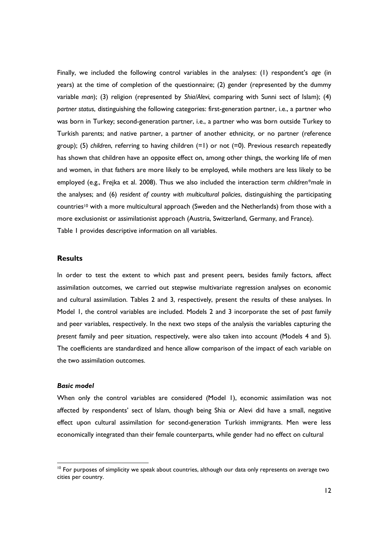Finally, we included the following control variables in the analyses: (1) respondent's *age* (in years) at the time of completion of the questionnaire; (2) gender (represented by the dummy variable *man*); (3) religion (represented by *Shia/Alevi*, comparing with Sunni sect of Islam); (4) *partner status*, distinguishing the following categories: first-generation partner, i.e., a partner who was born in Turkey; second-generation partner, i.e., a partner who was born outside Turkey to Turkish parents; and native partner, a partner of another ethnicity, or no partner (reference group); (5) *children*, referring to having children (=1) or not (=0). Previous research repeatedly has shown that children have an opposite effect on, among other things, the working life of men and women, in that fathers are more likely to be employed, while mothers are less likely to be employed (e.g., Frejka et al. 2008). Thus we also included the interaction term *children\*male* in the analyses; and (6) *resident of country with multicultural policies*, distinguishing the participating countries<sup>10</sup> with a more multicultural approach (Sweden and the Netherlands) from those with a more exclusionist or assimilationist approach (Austria, Switzerland, Germany, and France). Table 1 provides descriptive information on all variables.

# **Results**

In order to test the extent to which past and present peers, besides family factors, affect assimilation outcomes, we carried out stepwise multivariate regression analyses on economic and cultural assimilation. Tables 2 and 3, respectively, present the results of these analyses. In Model 1, the control variables are included. Models 2 and 3 incorporate the set of *past* family and peer variables, respectively. In the next two steps of the analysis the variables capturing the *present* family and peer situation, respectively, were also taken into account (Models 4 and 5). The coefficients are standardized and hence allow comparison of the impact of each variable on the two assimilation outcomes.

## *Basic model*

When only the control variables are considered (Model 1), economic assimilation was not affected by respondents' sect of Islam, though being Shia or Alevi did have a small, negative effect upon cultural assimilation for second-generation Turkish immigrants. Men were less economically integrated than their female counterparts, while gender had no effect on cultural

 $10$  For purposes of simplicity we speak about countries, although our data only represents on average two cities per country.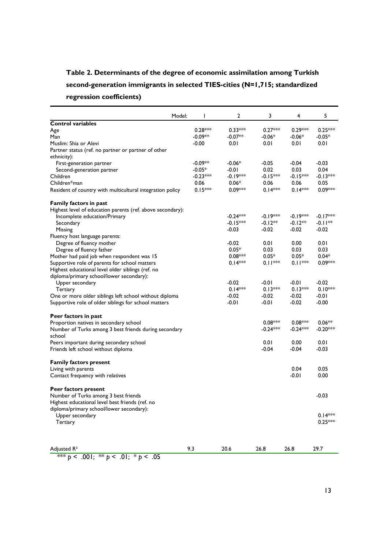# **Table 2. Determinants of the degree of economic assimilation among Turkish second-generation immigrants in selected TIES-cities (N=1,715; standardized regression coefficients)**

| Model:                                                     | T          | 2          | 3          | 4          | 5          |
|------------------------------------------------------------|------------|------------|------------|------------|------------|
| <b>Control variables</b>                                   |            |            |            |            |            |
| Age                                                        | $0.28***$  | $0.33***$  | $0.27***$  | $0.29***$  | $0.25***$  |
| Man                                                        | $-0.09**$  | $-0.07**$  | $-0.06*$   | $-0.06*$   | $-0.05*$   |
| Muslim: Shia or Alevi                                      | $-0.00$    | 0.01       | 0.01       | 0.01       | 0.01       |
| Partner status (ref. no partner or partner of other        |            |            |            |            |            |
| ethnicity):                                                |            |            |            |            |            |
| First-generation partner                                   | $-0.09**$  | $-0.06*$   | -0.05      | $-0.04$    | $-0.03$    |
| Second-generation partner                                  | $-0.05*$   | $-0.01$    | 0.02       | 0.03       | 0.04       |
| Children                                                   | $-0.23***$ | $-0.19***$ | $-0.15***$ | $-0.15***$ | $-0.13***$ |
| Children*man                                               | 0.06       | $0.06*$    | 0.06       | 0.06       | 0.05       |
| Resident of country with multicultural integration policy  | $0.15***$  | $0.09***$  | $0.14***$  | $0.14***$  | $0.09***$  |
| Family factors in past                                     |            |            |            |            |            |
| Highest level of education parents (ref. above secondary): |            |            |            |            |            |
| Incomplete education/Primary                               |            | $-0.24***$ | $-0.19***$ | $-0.19***$ | $-0.17***$ |
| Secondary                                                  |            | $-0.15***$ | $-0.12**$  | $-0.12**$  | $-0.11**$  |
| Missing                                                    |            | $-0.03$    | $-0.02$    | $-0.02$    | $-0.02$    |
| Fluency host language parents:                             |            |            |            |            |            |
| Degree of fluency mother                                   |            | $-0.02$    | 0.01       | 0.00       | 0.01       |
| Degree of fluency father                                   |            | $0.05*$    | 0.03       | 0.03       | 0.03       |
| Mother had paid job when respondent was 15                 |            | $0.08***$  | $0.05*$    | $0.05*$    | $0.04*$    |
| Supportive role of parents for school matters              |            | $0.14***$  | $0.11***$  | $0.11***$  | $0.09***$  |
| Highest educational level older siblings (ref. no          |            |            |            |            |            |
| diploma/primary school/lower secondary):                   |            |            |            |            |            |
| Upper secondary                                            |            | $-0.02$    | -0.01      | $-0.01$    | -0.02      |
| Tertiary                                                   |            | $0.14***$  | $0.13***$  | $0.13***$  | $0.10***$  |
| One or more older siblings left school without diploma     |            | $-0.02$    | $-0.02$    | $-0.02$    | -0.01      |
| Supportive role of older siblings for school matters       |            | $-0.01$    | -0.01      | $-0.02$    | $-0.00$    |
| Peer factors in past                                       |            |            |            |            |            |
| Proportion natives in secondary school                     |            |            | $0.08***$  | $0.08***$  | $0.06**$   |
| Number of Turks among 3 best friends during secondary      |            |            | $-0.24***$ | $-0.24***$ | $-0.20***$ |
| school                                                     |            |            |            |            |            |
| Peers important during secondary school                    |            |            | 0.01       | 0.00       | 0.01       |
| Friends left school without diploma                        |            |            | $-0.04$    | $-0.04$    | $-0.03$    |
| <b>Family factors present</b>                              |            |            |            |            |            |
| Living with parents                                        |            |            |            | 0.04       | 0.05       |
| Contact frequency with relatives                           |            |            |            | $-0.01$    | 0.00       |
| Peer factors present                                       |            |            |            |            |            |
| Number of Turks among 3 best friends                       |            |            |            |            | $-0.03$    |
| Highest educational level best friends (ref. no            |            |            |            |            |            |
| diploma/primary school/lower secondary):                   |            |            |            |            |            |
| Upper secondary                                            |            |            |            |            | $0.14***$  |
| Tertiary                                                   |            |            |            |            | $0.25***$  |
|                                                            |            |            |            |            |            |
| Adjusted R <sup>2</sup>                                    | 9.3        | 20.6       | 26.8       | 26.8       | 29.7       |
|                                                            |            |            |            |            |            |

\*\*\* *p* < .001; \*\* *p* < .01; \* *p* < .05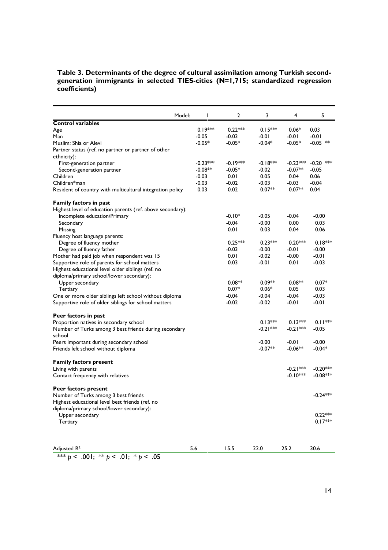# **Table 3. Determinants of the degree of cultural assimilation among Turkish secondgeneration immigrants in selected TIES-cities (N=1,715; standardized regression coefficients)**

|                                                            | Model: | I          | $\mathbf{2}$ | 3          | 4          | 5           |
|------------------------------------------------------------|--------|------------|--------------|------------|------------|-------------|
| <b>Control variables</b>                                   |        |            |              |            |            |             |
| Age                                                        |        | $0.19***$  | $0.22***$    | $0.15***$  | $0.06*$    | 0.03        |
| Man                                                        |        | $-0.05$    | $-0.03$      | $-0.01$    | $-0.01$    | $-0.01$     |
| Muslim: Shia or Alevi                                      |        | $-0.05*$   | $-0.05*$     | -0.04*     | -0.05*     | $-0.05$ **  |
| Partner status (ref. no partner or partner of other        |        |            |              |            |            |             |
| ethnicity):                                                |        |            |              |            |            |             |
| First-generation partner                                   |        | $-0.23***$ | $-0.19***$   | $-0.18***$ | $-0.23***$ | $-0.20$ *** |
| Second-generation partner                                  |        | $-0.08**$  | $-0.05*$     | $-0.02$    | $-0.07**$  | $-0.05$     |
| Children                                                   |        | $-0.03$    | 0.01         | 0.05       | 0.04       | 0.06        |
| Children*man                                               |        | $-0.03$    | $-0.02$      | $-0.03$    | $-0.03$    | $-0.04$     |
| Resident of country with multicultural integration policy  |        | 0.03       | 0.02         | $0.07**$   | $0.07**$   | 0.04        |
| Family factors in past                                     |        |            |              |            |            |             |
| Highest level of education parents (ref. above secondary): |        |            |              |            |            |             |
| Incomplete education/Primary                               |        |            | $-0.10*$     | $-0.05$    | $-0.04$    | $-0.00$     |
| Secondary                                                  |        |            | $-0.04$      | $-0.00$    | 0.00       | 0.03        |
| Missing                                                    |        |            | 0.01         | 0.03       | 0.04       | 0.06        |
| Fluency host language parents:                             |        |            |              |            |            |             |
| Degree of fluency mother                                   |        |            | $0.25***$    | $0.23***$  | $0.20***$  | $0.18***$   |
| Degree of fluency father                                   |        |            | $-0.03$      | $-0.00$    | $-0.01$    | $-0.00$     |
| Mother had paid job when respondent was 15                 |        |            | 0.01         | $-0.02$    | $-0.00$    | $-0.01$     |
| Supportive role of parents for school matters              |        |            | 0.03         | $-0.01$    | 0.01       | $-0.03$     |
| Highest educational level older siblings (ref. no          |        |            |              |            |            |             |
| diploma/primary school/lower secondary):                   |        |            |              |            |            |             |
| Upper secondary                                            |        |            | $0.08**$     | $0.09**$   | $0.08**$   | $0.07*$     |
| Tertiary                                                   |        |            | $0.07*$      | $0.06*$    | 0.05       | 0.03        |
| One or more older siblings left school without diploma     |        |            | $-0.04$      | -0.04      | $-0.04$    | -0.03       |
| Supportive role of older siblings for school matters       |        |            | $-0.02$      | $-0.02$    | $-0.01$    | $-0.01$     |
| Peer factors in past                                       |        |            |              |            |            |             |
| Proportion natives in secondary school                     |        |            |              | $0.13***$  | $0.13***$  | $0.11***$   |
| Number of Turks among 3 best friends during secondary      |        |            |              | $-0.21***$ | $-0.21***$ | $-0.05$     |
| school                                                     |        |            |              |            |            |             |
| Peers important during secondary school                    |        |            |              | $-0.00$    | $-0.01$    | $-0.00$     |
| Friends left school without diploma                        |        |            |              | $-0.07**$  | $-0.06**$  | $-0.04*$    |
| <b>Family factors present</b>                              |        |            |              |            |            |             |
| Living with parents                                        |        |            |              |            | $-0.21***$ | $-0.20***$  |
| Contact frequency with relatives                           |        |            |              |            | $-0.10***$ | $-0.08***$  |
| Peer factors present                                       |        |            |              |            |            |             |
| Number of Turks among 3 best friends                       |        |            |              |            |            | $-0.24***$  |
| Highest educational level best friends (ref. no            |        |            |              |            |            |             |
| diploma/primary school/lower secondary):                   |        |            |              |            |            |             |
| Upper secondary                                            |        |            |              |            |            | $0.22***$   |
| Tertiary                                                   |        |            |              |            |            | $0.17***$   |
|                                                            |        |            |              |            |            |             |
| Adjusted R <sup>2</sup>                                    |        | 5.6        | 15.5         | 22.0       | 25.2       | 30.6        |

\*\*\* *p* < .001; \*\* *p* < .01; \* *p* < .05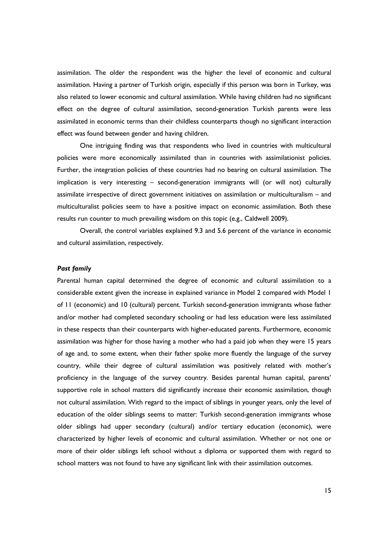assimilation. The older the respondent was the higher the level of economic and cultural assimilation. Having a partner of Turkish origin, especially if this person was born in Turkey, was also related to lower economic and cultural assimilation. While having children had no significant effect on the degree of cultural assimilation, second-generation Turkish parents were less assimilated in economic terms than their childless counterparts though no significant interaction effect was found between gender and having children.

One intriguing finding was that respondents who lived in countries with multicultural policies were more economically assimilated than in countries with assimilationist policies. Further, the integration policies of these countries had no bearing on cultural assimilation. The implication is very interesting – second-generation immigrants will (or will not) culturally assimilate irrespective of direct government initiatives on assimilation or multiculturalism – and multiculturalist policies seem to have a positive impact on economic assimilation. Both these results run counter to much prevailing wisdom on this topic (e.g., Caldwell 2009).

Overall, the control variables explained 9.3 and 5.6 percent of the variance in economic and cultural assimilation, respectively.

# *Past family*

Parental human capital determined the degree of economic and cultural assimilation to a considerable extent given the increase in explained variance in Model 2 compared with Model 1 of 11 (economic) and 10 (cultural) percent. Turkish second-generation immigrants whose father and/or mother had completed secondary schooling or had less education were less assimilated in these respects than their counterparts with higher-educated parents. Furthermore, economic assimilation was higher for those having a mother who had a paid job when they were 15 years of age and, to some extent, when their father spoke more fluently the language of the survey country, while their degree of cultural assimilation was positively related with mother's proficiency in the language of the survey country. Besides parental human capital, parents' supportive role in school matters did significantly increase their economic assimilation, though not cultural assimilation. With regard to the impact of siblings in younger years, only the level of education of the older siblings seems to matter: Turkish second-generation immigrants whose older siblings had upper secondary (cultural) and/or tertiary education (economic), were characterized by higher levels of economic and cultural assimilation. Whether or not one or more of their older siblings left school without a diploma or supported them with regard to school matters was not found to have any significant link with their assimilation outcomes.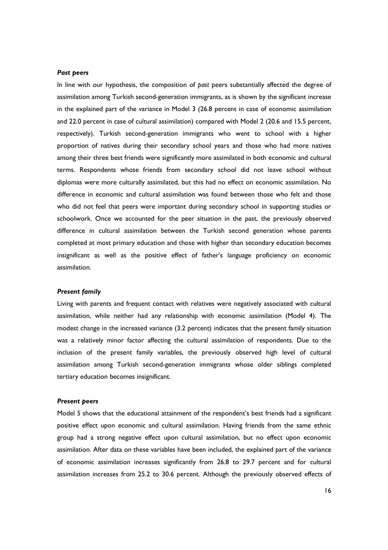#### *Past peers*

In line with our hypothesis, the composition of *past* peers substantially affected the degree of assimilation among Turkish second-generation immigrants, as is shown by the significant increase in the explained part of the variance in Model 3 (26.8 percent in case of economic assimilation and 22.0 percent in case of cultural assimilation) compared with Model 2 (20.6 and 15.5 percent, respectively). Turkish second-generation immigrants who went to school with a higher proportion of natives during their secondary school years and those who had more natives among their three best friends were significantly more assimilated in both economic and cultural terms. Respondents whose friends from secondary school did not leave school without diplomas were more culturally assimilated, but this had no effect on economic assimilation. No difference in economic and cultural assimilation was found between those who felt and those who did not feel that peers were important during secondary school in supporting studies or schoolwork. Once we accounted for the peer situation in the past, the previously observed difference in cultural assimilation between the Turkish second generation whose parents completed at most primary education and those with higher than secondary education becomes insignificant as well as the positive effect of father's language proficiency on economic assimilation.

### *Present family*

Living with parents and frequent contact with relatives were negatively associated with cultural assimilation, while neither had any relationship with economic assimilation (Model 4). The modest change in the increased variance (3.2 percent) indicates that the present family situation was a relatively minor factor affecting the cultural assimilation of respondents. Due to the inclusion of the present family variables, the previously observed high level of cultural assimilation among Turkish second-generation immigrants whose older siblings completed tertiary education becomes insignificant.

## *Present peers*

Model 5 shows that the educational attainment of the respondent's best friends had a significant positive effect upon economic and cultural assimilation. Having friends from the same ethnic group had a strong negative effect upon cultural assimilation, but no effect upon economic assimilation. After data on these variables have been included, the explained part of the variance of economic assimilation increases significantly from 26.8 to 29.7 percent and for cultural assimilation increases from 25.2 to 30.6 percent. Although the previously observed effects of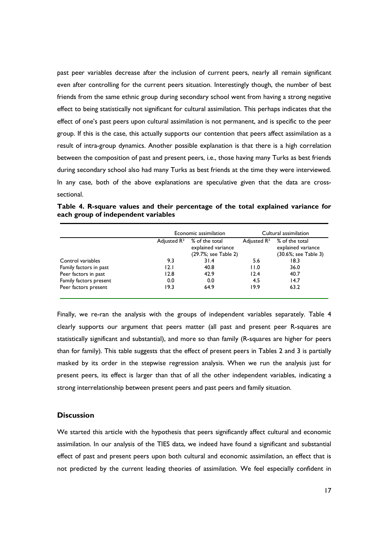past peer variables decrease after the inclusion of current peers, nearly all remain significant even after controlling for the current peers situation. Interestingly though, the number of best friends from the same ethnic group during secondary school went from having a strong negative effect to being statistically not significant for cultural assimilation. This perhaps indicates that the effect of one's past peers upon cultural assimilation is not permanent, and is specific to the peer group. If this is the case, this actually supports our contention that peers affect assimilation as a result of intra-group dynamics. Another possible explanation is that there is a high correlation between the composition of past and present peers, i.e., those having many Turks as best friends during secondary school also had many Turks as best friends at the time they were interviewed. In any case, both of the above explanations are speculative given that the data are crosssectional.

**Table 4. R-square values and their percentage of the total explained variance for each group of independent variables**

|                        | Economic assimilation   |                                                              | Cultural assimilation   |                                                              |  |
|------------------------|-------------------------|--------------------------------------------------------------|-------------------------|--------------------------------------------------------------|--|
|                        | Adjusted R <sup>2</sup> | % of the total<br>explained variance<br>(29.7%; see Table 2) | Adjusted R <sup>2</sup> | % of the total<br>explained variance<br>(30.6%; see Table 3) |  |
| Control variables      | 9.3                     | 31.4                                                         | 5.6                     | 18.3                                                         |  |
| Family factors in past | 12.1                    | 40.8                                                         | 11.0                    | 36.0                                                         |  |
| Peer factors in past   | 12.8                    | 42.9                                                         | 12.4                    | 40.7                                                         |  |
| Family factors present | 0.0                     | 0.0                                                          | 4.5                     | 14.7                                                         |  |
| Peer factors present   | 19.3                    | 64.9                                                         | 19.9                    | 63.2                                                         |  |

Finally, we re-ran the analysis with the groups of independent variables separately. Table 4 clearly supports our argument that peers matter (all past and present peer R-squares are statistically significant and substantial), and more so than family (R-squares are higher for peers than for family). This table suggests that the effect of present peers in Tables 2 and 3 is partially masked by its order in the stepwise regression analysis. When we run the analysis just for present peers, its effect is larger than that of all the other independent variables, indicating a strong interrelationship between present peers and past peers and family situation.

# **Discussion**

We started this article with the hypothesis that peers significantly affect cultural and economic assimilation. In our analysis of the TIES data, we indeed have found a significant and substantial effect of past and present peers upon both cultural and economic assimilation, an effect that is not predicted by the current leading theories of assimilation. We feel especially confident in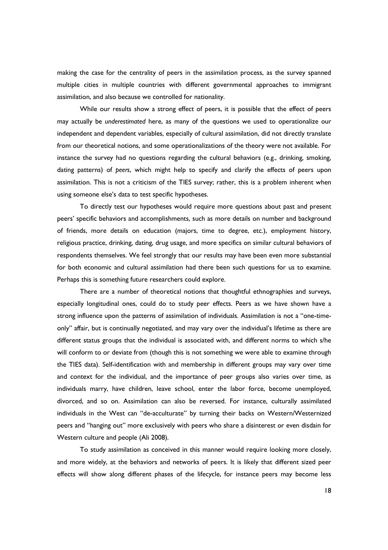making the case for the centrality of peers in the assimilation process, as the survey spanned multiple cities in multiple countries with different governmental approaches to immigrant assimilation, and also because we controlled for nationality.

While our results show a strong effect of peers, it is possible that the effect of peers may actually be *underestimated* here, as many of the questions we used to operationalize our independent and dependent variables, especially of cultural assimilation, did not directly translate from our theoretical notions, and some operationalizations of the theory were not available. For instance the survey had no questions regarding the cultural behaviors (e.g., drinking, smoking, dating patterns) of *peers*, which might help to specify and clarify the effects of peers upon assimilation. This is not a criticism of the TIES survey; rather, this is a problem inherent when using someone else's data to test specific hypotheses.

To directly test our hypotheses would require more questions about past and present peers' specific behaviors and accomplishments, such as more details on number and background of friends, more details on education (majors, time to degree, etc.), employment history, religious practice, drinking, dating, drug usage, and more specifics on similar cultural behaviors of respondents themselves. We feel strongly that our results may have been even more substantial for both economic and cultural assimilation had there been such questions for us to examine. Perhaps this is something future researchers could explore.

There are a number of theoretical notions that thoughtful ethnographies and surveys, especially longitudinal ones, could do to study peer effects. Peers as we have shown have a strong influence upon the patterns of assimilation of individuals. Assimilation is not a "one-timeonly" affair, but is continually negotiated, and may vary over the individual's lifetime as there are different status groups that the individual is associated with, and different norms to which s/he will conform to or deviate from (though this is not something we were able to examine through the TIES data). Self-identification with and membership in different groups may vary over time and context for the individual, and the importance of peer groups also varies over time, as individuals marry, have children, leave school, enter the labor force, become unemployed, divorced, and so on. Assimilation can also be reversed. For instance, culturally assimilated individuals in the West can "de-acculturate" by turning their backs on Western/Westernized peers and "hanging out" more exclusively with peers who share a disinterest or even disdain for Western culture and people (Ali 2008).

To study assimilation as conceived in this manner would require looking more closely, and more widely, at the behaviors and networks of peers. It is likely that different sized peer effects will show along different phases of the lifecycle, for instance peers may become less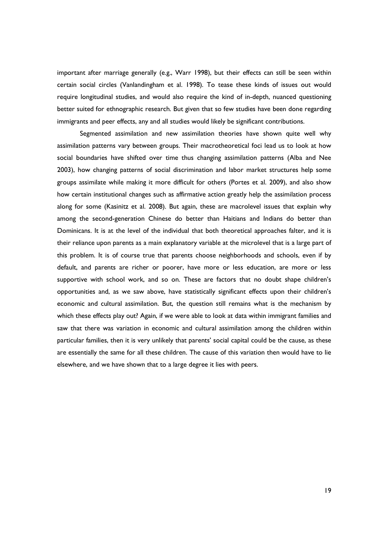important after marriage generally (e.g., Warr 1998), but their effects can still be seen within certain social circles (Vanlandingham et al. 1998). To tease these kinds of issues out would require longitudinal studies, and would also require the kind of in-depth, nuanced questioning better suited for ethnographic research. But given that so few studies have been done regarding immigrants and peer effects, any and all studies would likely be significant contributions.

Segmented assimilation and new assimilation theories have shown quite well why assimilation patterns vary between groups. Their macrotheoretical foci lead us to look at how social boundaries have shifted over time thus changing assimilation patterns (Alba and Nee 2003), how changing patterns of social discrimination and labor market structures help some groups assimilate while making it more difficult for others (Portes et al. 2009), and also show how certain institutional changes such as affirmative action greatly help the assimilation process along for some (Kasinitz et al. 2008). But again, these are macrolevel issues that explain why among the second-generation Chinese do better than Haitians and Indians do better than Dominicans. It is at the level of the individual that both theoretical approaches falter, and it is their reliance upon parents as a main explanatory variable at the microlevel that is a large part of this problem. It is of course true that parents choose neighborhoods and schools, even if by default, and parents are richer or poorer, have more or less education, are more or less supportive with school work, and so on. These are factors that no doubt shape children's opportunities and, as we saw above, have statistically significant effects upon their children's economic and cultural assimilation. But, the question still remains what is the mechanism by which these effects play out? Again, if we were able to look at data within immigrant families and saw that there was variation in economic and cultural assimilation among the children within particular families, then it is very unlikely that parents' social capital could be the cause, as these are essentially the same for all these children. The cause of this variation then would have to lie elsewhere, and we have shown that to a large degree it lies with peers.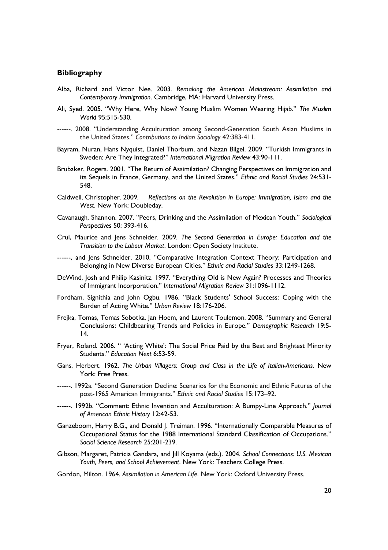#### **Bibliography**

- Alba, Richard and Victor Nee. 2003. *Remaking the American Mainstream: Assimilation and Contemporary Immigration*. Cambridge, MA: Harvard University Press.
- Ali, Syed. 2005. "Why Here, Why Now? Young Muslim Women Wearing Hijab." *The Muslim World* 95:515-530.
- ------. 2008. "Understanding Acculturation among Second-Generation South Asian Muslims in the United States." *Contributions to Indian Sociology* 42:383-411.
- Bayram, Nuran, Hans Nyquist, Daniel Thorbum, and Nazan Bilgel. 2009. "Turkish Immigrants in Sweden: Are They Integrated?" *International Migration Review* 43:90-111.
- Brubaker, Rogers. 2001. "The Return of Assimilation? Changing Perspectives on Immigration and its Sequels in France, Germany, and the United States." *Ethnic and Racial Studies* 24:531- 548.
- Caldwell, Christopher. 2009. *Reflections on the Revolution in Europe: Immigration, Islam and the West*. New York: Doubleday.
- Cavanaugh, Shannon. 2007. "Peers, Drinking and the Assimilation of Mexican Youth." *Sociological Perspectives* 50: 393-416.
- Crul, Maurice and Jens Schneider. 2009. *The Second Generation in Europe: Education and the Transition to the Labour Market*. London: Open Society Institute.
- ------, and Jens Schneider. 2010. "Comparative Integration Context Theory: Participation and Belonging in New Diverse European Cities." *Ethnic and Racial Studies* 33:1249-1268.
- DeWind, Josh and Philip Kasinitz. 1997. "Everything Old is New Again? Processes and Theories of Immigrant Incorporation." *International Migration Review* 31:1096-1112.
- Fordham, Signithia and John Ogbu. 1986. "Black Students' School Success: Coping with the Burden of Acting White." *Urban Review* 18:176-206.
- Frejka, Tomas, Tomas Sobotka, Jan Hoem, and Laurent Toulemon. 2008. "Summary and General Conclusions: Childbearing Trends and Policies in Europe." *Demographic Research* 19:5- 14.
- Fryer, Roland. 2006. " 'Acting White': The Social Price Paid by the Best and Brightest Minority Students." *Education Next* 6:53-59.
- Gans, Herbert. 1962. *The Urban Villagers: Group and Class in the Life of Italian-Americans*. New York: Free Press.
- ------. 1992a. "Second Generation Decline: Scenarios for the Economic and Ethnic Futures of the post-1965 American Immigrants." *Ethnic and Racial Studies* 15:173–92.
- ------. 1992b. "Comment: Ethnic Invention and Acculturation: A Bumpy-Line Approach." *Journal of American Ethnic History* 12:42-53.
- Ganzeboom, Harry B.G., and Donald J. Treiman. 1996. "Internationally Comparable Measures of Occupational Status for the 1988 International Standard Classification of Occupations." *Social Science Research* 25:201-239.
- Gibson, Margaret, Patricia Gandara, and Jill Koyama (eds.). 2004. *School Connections: U.S. Mexican Youth, Peers, and School Achievement*. New York: Teachers College Press.

Gordon, Milton. 1964. *Assimilation in American Life*. New York: Oxford University Press.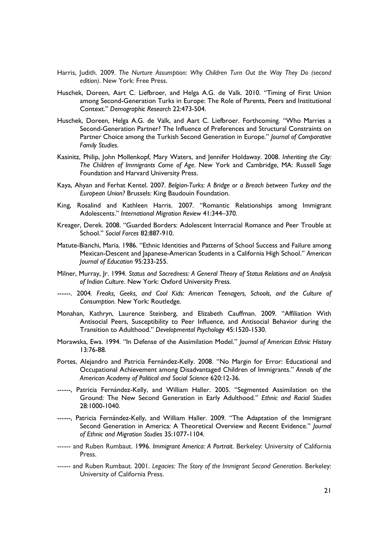- Harris, Judith. 2009. *The Nurture Assumption: Why Children Turn Out the Way They Do (second edition)*. New York: Free Press.
- Huschek, Doreen, Aart C. Liefbroer, and Helga A.G. de Valk. 2010. "Timing of First Union among Second-Generation Turks in Europe: The Role of Parents, Peers and Institutional Context." *Demographic Research* 22:473-504.
- Huschek, Doreen, Helga A.G. de Valk, and Aart C. Liefbroer. Forthcoming. "Who Marries a Second-Generation Partner? The Influence of Preferences and Structural Constraints on Partner Choice among the Turkish Second Generation in Europe." *Journal of Comparative Family Studies*.
- Kasinitz, Philip, John Mollenkopf, Mary Waters, and Jennifer Holdaway. 2008. *Inheriting the City: The Children of Immigrants Come of Age*. New York and Cambridge, MA: Russell Sage Foundation and Harvard University Press.
- Kaya, Ahyan and Ferhat Kentel. 2007. *Belgian-Turks: A Bridge or a Breach between Turkey and the European Union?* Brussels: King Baudouin Foundation.
- King, Rosalind and Kathleen Harris. 2007. "Romantic Relationships among Immigrant Adolescents." *International Migration Review* 41:344–370.
- Kreager, Derek. 2008. "Guarded Borders: Adolescent Interracial Romance and Peer Trouble at School." *Social Forces* 82:887-910.
- Matute-Bianchi, Maria. 1986. "Ethnic Identities and Patterns of School Success and Failure among Mexican-Descent and Japanese-American Students in a California High School." *American Journal of Education* 95:233-255.
- Milner, Murray, Jr. 1994. *Status and Sacredness: A General Theory of Status Relations and an Analysis of Indian Culture*. New York: Oxford University Press.
- ------. 2004. *Freaks, Geeks, and Cool Kids: American Teenagers, Schools, and the Culture of Consumption.* New York: Routledge.
- Monahan, Kathryn, Laurence Steinberg, and Elizabeth Cauffman. 2009. "Affiliation With Antisocial Peers, Susceptibility to Peer Influence, and Antisocial Behavior during the Transition to Adulthood." *Developmental Psychology* 45:1520-1530.
- Morawska, Ewa. 1994. "In Defense of the Assimilation Model." *Journal of American Ethnic History* 13:76-88.
- Portes, Alejandro and Patricia Fernández-Kelly. 2008. "No Margin for Error: Educational and Occupational Achievement among Disadvantaged Children of Immigrants." *Annals of the American Academy of Political and Social Science* 620:12-36.
- ------, Patricia Fernández-Kelly, and William Haller. 2005. "Segmented Assimilation on the Ground: The New Second Generation in Early Adulthood." *Ethnic and Racial Studies* 28:1000-1040.
- ------, Patricia Fernández-Kelly, and William Haller. 2009. "The Adaptation of the Immigrant Second Generation in America: A Theoretical Overview and Recent Evidence." *Journal of Ethnic and Migration Studies* 35:1077-1104.
- ------ and Ruben Rumbaut. 1996. *Immigrant America: A Portrait*. Berkeley: University of California Press.
- ------ and Ruben Rumbaut. 2001. *Legacies: The Story of the Immigrant Second Generation*. Berkeley: University of California Press.